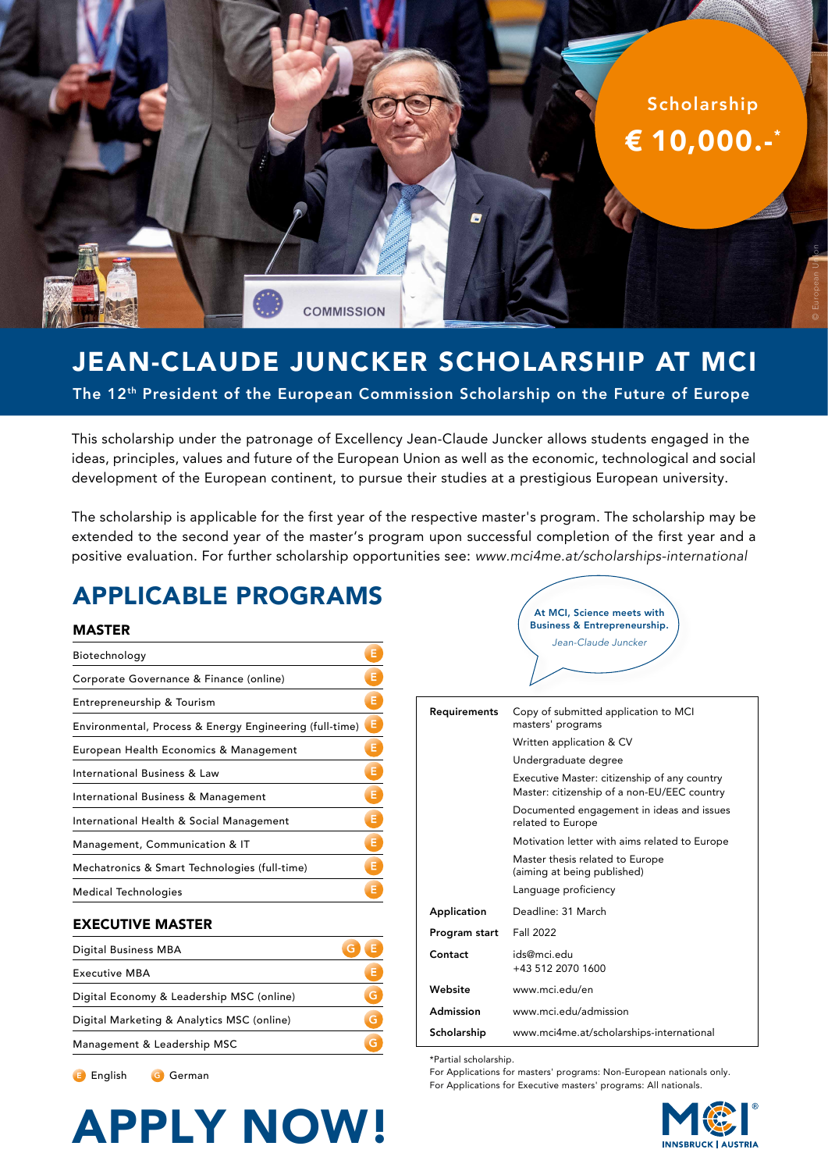

# JEAN-CLAUDE JUNCKER SCHOLARSHIP AT MCI

The 12th President of the European Commission Scholarship on the Future of Europe

This scholarship under the patronage of Excellency Jean-Claude Juncker allows students engaged in the ideas, principles, values and future of the European Union as well as the economic, technological and social development of the European continent, to pursue their studies at a prestigious European university.

The scholarship is applicable for the first year of the respective master's program. The scholarship may be extended to the second year of the master's program upon successful completion of the first year and a positive evaluation. For further scholarship opportunities see: *www.mci4me.at/scholarships-international*

# APPLICABLE PROGRAMS

#### MASTER

| Biotechnology                                           | Е |
|---------------------------------------------------------|---|
| Corporate Governance & Finance (online)                 | Е |
| Entrepreneurship & Tourism                              | Е |
| Environmental, Process & Energy Engineering (full-time) | Е |
| European Health Economics & Management                  | Е |
| International Business & Law                            | Е |
| International Business & Management                     | Е |
| International Health & Social Management                | Е |
| Management, Communication & IT                          | Е |
| Mechatronics & Smart Technologies (full-time)           | Е |
| Medical Technologies                                    | E |

#### EXECUTIVE MASTER

English G German

| Digital Business MBA                       |   |
|--------------------------------------------|---|
| <b>Executive MBA</b>                       | Е |
| Digital Economy & Leadership MSC (online)  |   |
| Digital Marketing & Analytics MSC (online) | G |
| Management & Leadership MSC                |   |

At MCI, Science meets with Business & Entrepreneurship. *Jean-Claude Juncker*

| Requirements  | Copy of submitted application to MCI<br>masters' programs                                   |
|---------------|---------------------------------------------------------------------------------------------|
|               | Written application & CV                                                                    |
|               | Undergraduate degree                                                                        |
|               | Executive Master: citizenship of any country<br>Master: citizenship of a non-EU/EEC country |
|               | Documented engagement in ideas and issues<br>related to Europe                              |
|               | Motivation letter with aims related to Europe                                               |
|               | Master thesis related to Europe<br>(aiming at being published)                              |
|               | Language proficiency                                                                        |
| Application   | Deadline: 31 March                                                                          |
| Program start | Fall 2022                                                                                   |
| Contact       | ids@mci.edu<br>+43 512 2070 1600                                                            |
| Website       | www.mci.edu/en                                                                              |
| Admission     | www.mci.edu/admission                                                                       |
| Scholarship   | www.mci4me.at/scholarships-international                                                    |

\*Partial scholarship.

For Applications for masters' programs: Non-European nationals only. For Applications for Executive masters' programs: All nationals.